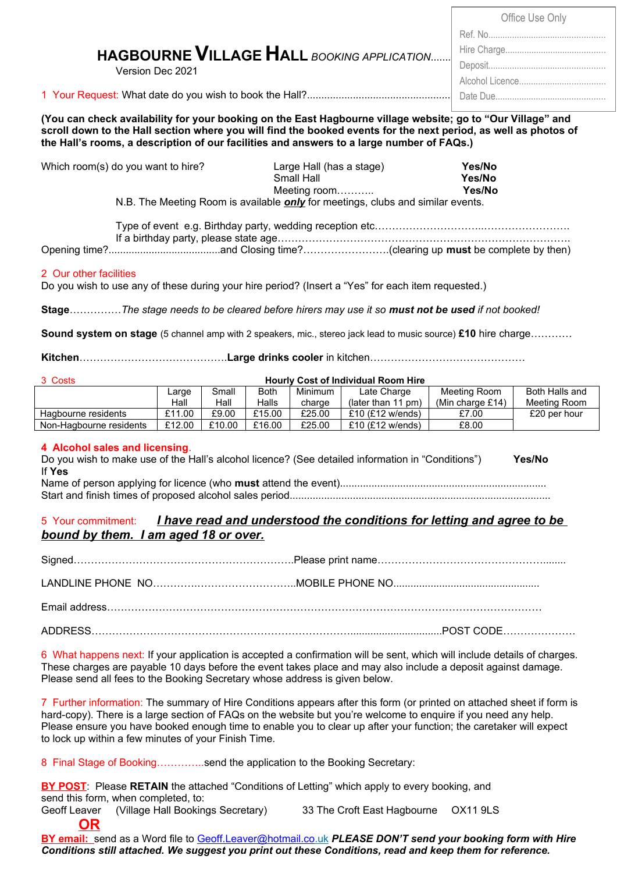|                                                                                                             | Office Use Only |  |  |  |  |
|-------------------------------------------------------------------------------------------------------------|-----------------|--|--|--|--|
|                                                                                                             | Ref No          |  |  |  |  |
| HAGBOURNE VILLAGE HALL BOOKING APPLICATION                                                                  |                 |  |  |  |  |
| Version Dec 2021                                                                                            | Deposit         |  |  |  |  |
|                                                                                                             |                 |  |  |  |  |
|                                                                                                             |                 |  |  |  |  |
| (You can check availability for your booking on the East Hagbourne village website: go to "Our Village" and |                 |  |  |  |  |

**(You can check availability for your booking on the East Hagbourne village website; go to "Our Village" and scroll down to the Hall section where you will find the booked events for the next period, as well as photos of the Hall's rooms, a description of our facilities and answers to a large number of FAQs.)**

| Which room(s) do you want to hire? | Large Hall (has a stage)                                                               | Yes/No |
|------------------------------------|----------------------------------------------------------------------------------------|--------|
|                                    | Small Hall                                                                             | Yes/No |
|                                    | Meeting room…………                                                                       | Yes/No |
|                                    | N.B. The Meeting Room is available <b>only</b> for meetings, clubs and similar events. |        |

Type of event e.g. Birthday party, wedding reception etc…………………………..……………………. If a birthday party, please state age………………………………………………………………………….

Opening time?.......................................and Closing time?…………………….(clearing up **must** be complete by then)

# 2 Our other facilities

Do you wish to use any of these during your hire period? (Insert a "Yes" for each item requested.)

**Stage**……………*The stage needs to be cleared before hirers may use it so must not be used if not booked!*

**Sound system on stage** (5 channel amp with 2 speakers, mic., stereo jack lead to music source) **£10** hire charge…………

**Kitchen**…………………………………….**Large drinks cooler** in kitchen………………………………………

| 3 Costs                 | <b>Hourly Cost of Individual Room Hire</b> |        |             |                |                            |                     |                |
|-------------------------|--------------------------------------------|--------|-------------|----------------|----------------------------|---------------------|----------------|
|                         | Large                                      | Small  | <b>Both</b> | <b>Minimum</b> | Late Charge                | Meeting Room        | Both Halls and |
|                         | Hall                                       | Hall   | Halls       | charge         | (later than 11 pm)         | (Min charge $£14$ ) | Meeting Room   |
| Hagbourne residents     | £11.00                                     | £9.00  | £15.00      | £25.00         | £10 $(E12 \text{ w/ends})$ | £7.00               | £20 per hour   |
| Non-Hagbourne residents | £12.00                                     | £10.00 | £16.00      | £25.00         | £10 $(E12 \text{ w/ends})$ | £8.00               |                |

# **4 Alcohol sales and licensing**.

**OR**

Do you wish to make use of the Hall's alcohol licence? (See detailed information in "Conditions") **Yes/No** If **Yes** Name of person applying for licence (who **must** attend the event)........................................................................

Start and finish times of proposed alcohol sales period...........................................................................................

# 5 Your commitment: *I have read and understood the conditions for letting and agree to be bound by them. I am aged 18 or over.*

6 What happens next: If your application is accepted a confirmation will be sent, which will include details of charges. These charges are payable 10 days before the event takes place and may also include a deposit against damage. Please send all fees to the Booking Secretary whose address is given below.

7 Further information: The summary of Hire Conditions appears after this form (or printed on attached sheet if form is hard-copy). There is a large section of FAQs on the website but you're welcome to enquire if you need any help. Please ensure you have booked enough time to enable you to clear up after your function; the caretaker will expect to lock up within a few minutes of your Finish Time.

8 Final Stage of Booking…………..send the application to the Booking Secretary:

**BY POST**: Please **RETAIN** the attached "Conditions of Letting" which apply to every booking, and send this form, when completed, to:

Geoff Leaver (Village Hall Bookings Secretary) 33 The Croft East Hagbourne OX11 9LS

**BY email:** send as a Word file to [Geoff.Leaver@hotmail.co .](mailto:Geoff.Leaver@hotmail.co)uk *PLEASE DON'T send your booking form with Hire Conditions still attached. We suggest you print out these Conditions, read and keep them for reference.*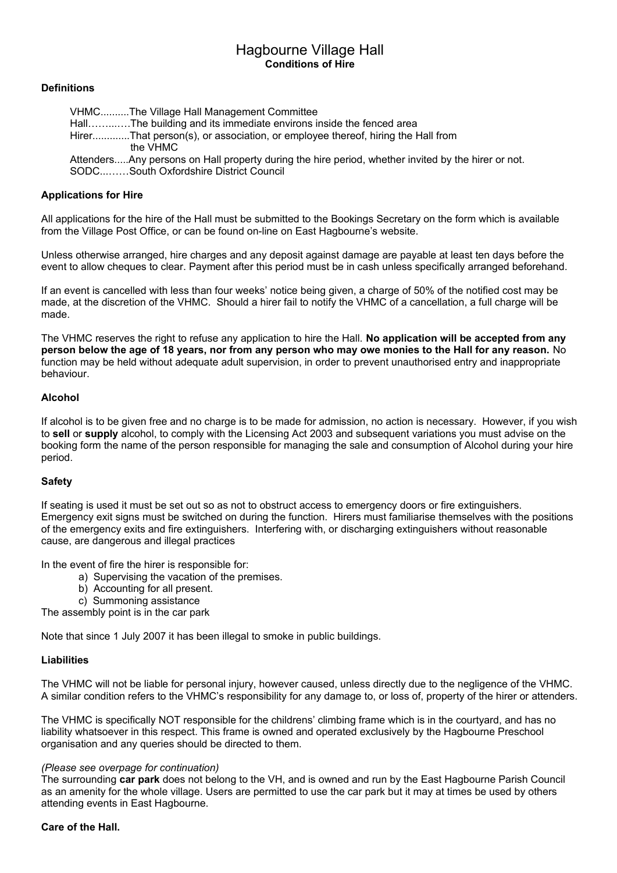# Hagbourne Village Hall **Conditions of Hire**

# **Definitions**

 VHMC..........The Village Hall Management Committee Hall……...….The building and its immediate environs inside the fenced area Hirer.............That person(s), or association, or employee thereof, hiring the Hall from the VHMC Attenders.....Any persons on Hall property during the hire period, whether invited by the hirer or not. SODC...……South Oxfordshire District Council

## **Applications for Hire**

All applications for the hire of the Hall must be submitted to the Bookings Secretary on the form which is available from the Village Post Office, or can be found on-line on East Hagbourne's website.

Unless otherwise arranged, hire charges and any deposit against damage are payable at least ten days before the event to allow cheques to clear. Payment after this period must be in cash unless specifically arranged beforehand.

If an event is cancelled with less than four weeks' notice being given, a charge of 50% of the notified cost may be made, at the discretion of the VHMC. Should a hirer fail to notify the VHMC of a cancellation, a full charge will be made.

The VHMC reserves the right to refuse any application to hire the Hall. **No application will be accepted from any person below the age of 18 years, nor from any person who may owe monies to the Hall for any reason.** No function may be held without adequate adult supervision, in order to prevent unauthorised entry and inappropriate behaviour.

### **Alcohol**

If alcohol is to be given free and no charge is to be made for admission, no action is necessary. However, if you wish to **sell** or **supply** alcohol, to comply with the Licensing Act 2003 and subsequent variations you must advise on the booking form the name of the person responsible for managing the sale and consumption of Alcohol during your hire period.

# **Safety**

If seating is used it must be set out so as not to obstruct access to emergency doors or fire extinguishers. Emergency exit signs must be switched on during the function. Hirers must familiarise themselves with the positions of the emergency exits and fire extinguishers. Interfering with, or discharging extinguishers without reasonable cause, are dangerous and illegal practices

In the event of fire the hirer is responsible for:

- a) Supervising the vacation of the premises.
	- b) Accounting for all present.
	- c) Summoning assistance

The assembly point is in the car park

Note that since 1 July 2007 it has been illegal to smoke in public buildings.

#### **Liabilities**

The VHMC will not be liable for personal injury, however caused, unless directly due to the negligence of the VHMC. A similar condition refers to the VHMC's responsibility for any damage to, or loss of, property of the hirer or attenders.

The VHMC is specifically NOT responsible for the childrens' climbing frame which is in the courtyard, and has no liability whatsoever in this respect. This frame is owned and operated exclusively by the Hagbourne Preschool organisation and any queries should be directed to them.

#### *(Please see overpage for continuation)*

The surrounding **car park** does not belong to the VH, and is owned and run by the East Hagbourne Parish Council as an amenity for the whole village. Users are permitted to use the car park but it may at times be used by others attending events in East Hagbourne.

#### **Care of the Hall.**